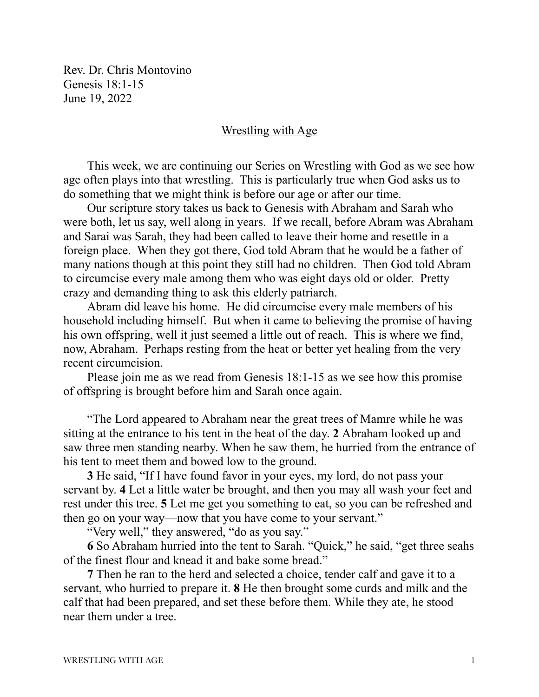Rev. Dr. Chris Montovino Genesis 18:1-15 June 19, 2022

## Wrestling with Age

This week, we are continuing our Series on Wrestling with God as we see how age often plays into that wrestling. This is particularly true when God asks us to do something that we might think is before our age or after our time.

Our scripture story takes us back to Genesis with Abraham and Sarah who were both, let us say, well along in years. If we recall, before Abram was Abraham and Sarai was Sarah, they had been called to leave their home and resettle in a foreign place. When they got there, God told Abram that he would be a father of many nations though at this point they still had no children. Then God told Abram to circumcise every male among them who was eight days old or older. Pretty crazy and demanding thing to ask this elderly patriarch.

Abram did leave his home. He did circumcise every male members of his household including himself. But when it came to believing the promise of having his own offspring, well it just seemed a little out of reach. This is where we find, now, Abraham. Perhaps resting from the heat or better yet healing from the very recent circumcision.

Please join me as we read from Genesis 18:1-15 as we see how this promise of offspring is brought before him and Sarah once again.

"The Lord appeared to Abraham near the great trees of Mamre while he was sitting at the entrance to his tent in the heat of the day. **2** Abraham looked up and saw three men standing nearby. When he saw them, he hurried from the entrance of his tent to meet them and bowed low to the ground.

**3** He said, "If I have found favor in your eyes, my lord, do not pass your servant by. **4** Let a little water be brought, and then you may all wash your feet and rest under this tree. **5** Let me get you something to eat, so you can be refreshed and then go on your way—now that you have come to your servant."

"Very well," they answered, "do as you say."

**6** So Abraham hurried into the tent to Sarah. "Quick," he said, "get three seahs of the finest flour and knead it and bake some bread."

**7** Then he ran to the herd and selected a choice, tender calf and gave it to a servant, who hurried to prepare it. **8** He then brought some curds and milk and the calf that had been prepared, and set these before them. While they ate, he stood near them under a tree.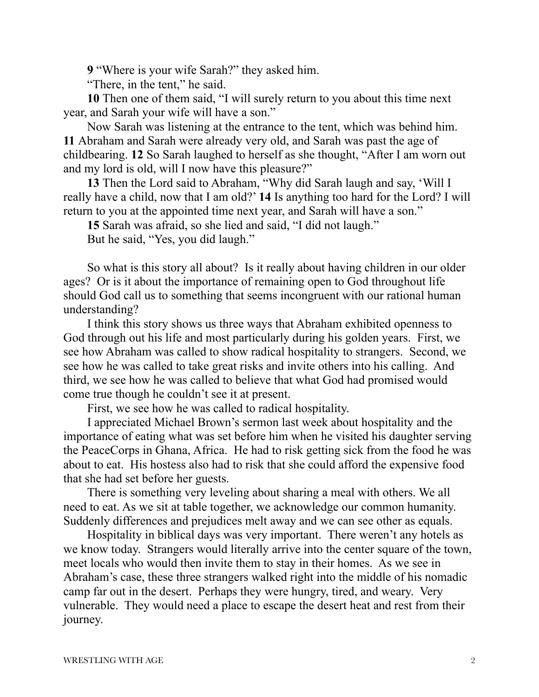**9** "Where is your wife Sarah?" they asked him.

"There, in the tent," he said.

**10** Then one of them said, "I will surely return to you about this time next year, and Sarah your wife will have a son."

Now Sarah was listening at the entrance to the tent, which was behind him. **11** Abraham and Sarah were already very old, and Sarah was past the age of childbearing. **12** So Sarah laughed to herself as she thought, "After I am worn out and my lord is old, will I now have this pleasure?"

**13** Then the Lord said to Abraham, "Why did Sarah laugh and say, 'Will I really have a child, now that I am old?' **14** Is anything too hard for the Lord? I will return to you at the appointed time next year, and Sarah will have a son."

**15** Sarah was afraid, so she lied and said, "I did not laugh."

But he said, "Yes, you did laugh."

So what is this story all about? Is it really about having children in our older ages? Or is it about the importance of remaining open to God throughout life should God call us to something that seems incongruent with our rational human understanding?

I think this story shows us three ways that Abraham exhibited openness to God through out his life and most particularly during his golden years. First, we see how Abraham was called to show radical hospitality to strangers. Second, we see how he was called to take great risks and invite others into his calling. And third, we see how he was called to believe that what God had promised would come true though he couldn't see it at present.

First, we see how he was called to radical hospitality.

I appreciated Michael Brown's sermon last week about hospitality and the importance of eating what was set before him when he visited his daughter serving the PeaceCorps in Ghana, Africa. He had to risk getting sick from the food he was about to eat. His hostess also had to risk that she could afford the expensive food that she had set before her guests.

There is something very leveling about sharing a meal with others. We all need to eat. As we sit at table together, we acknowledge our common humanity. Suddenly differences and prejudices melt away and we can see other as equals.

Hospitality in biblical days was very important. There weren't any hotels as we know today. Strangers would literally arrive into the center square of the town, meet locals who would then invite them to stay in their homes. As we see in Abraham's case, these three strangers walked right into the middle of his nomadic camp far out in the desert. Perhaps they were hungry, tired, and weary. Very vulnerable. They would need a place to escape the desert heat and rest from their journey.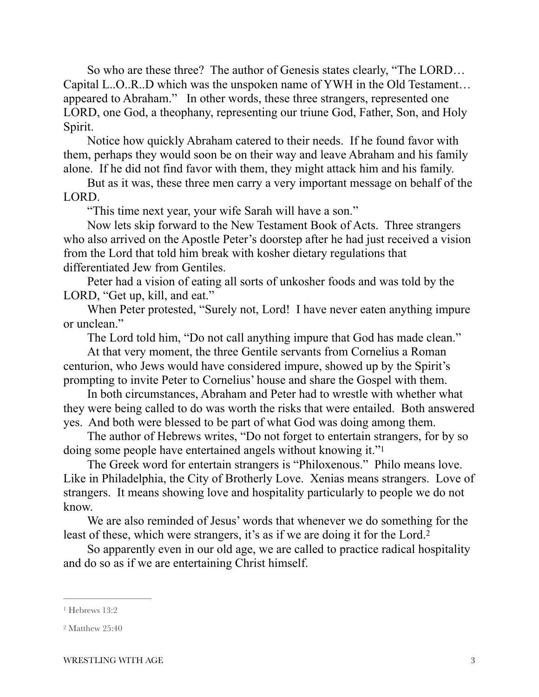So who are these three? The author of Genesis states clearly, "The LORD… Capital L..O..R..D which was the unspoken name of YWH in the Old Testament… appeared to Abraham." In other words, these three strangers, represented one LORD, one God, a theophany, representing our triune God, Father, Son, and Holy Spirit.

Notice how quickly Abraham catered to their needs. If he found favor with them, perhaps they would soon be on their way and leave Abraham and his family alone. If he did not find favor with them, they might attack him and his family.

But as it was, these three men carry a very important message on behalf of the LORD.

"This time next year, your wife Sarah will have a son."

Now lets skip forward to the New Testament Book of Acts. Three strangers who also arrived on the Apostle Peter's doorstep after he had just received a vision from the Lord that told him break with kosher dietary regulations that differentiated Jew from Gentiles.

Peter had a vision of eating all sorts of unkosher foods and was told by the LORD, "Get up, kill, and eat."

When Peter protested, "Surely not, Lord! I have never eaten anything impure or unclean."

<span id="page-2-2"></span>The Lord told him, "Do not call anything impure that God has made clean."

At that very moment, the three Gentile servants from Cornelius a Roman centurion, who Jews would have considered impure, showed up by the Spirit's prompting to invite Peter to Cornelius' house and share the Gospel with them.

In both circumstances, Abraham and Peter had to wrestle with whether what they were being called to do was worth the risks that were entailed. Both answered yes. And both were blessed to be part of what God was doing among them.

The author of Hebrews writes, "Do not forget to entertain strangers, for by so doing some people have entertained angels without knowing it.["1](#page-2-0)

The Greek word for entertain strangers is "Philoxenous." Philo means love. Like in Philadelphia, the City of Brotherly Love. Xenias means strangers. Love of strangers. It means showing love and hospitality particularly to people we do not know.

<span id="page-2-3"></span>We are also reminded of Jesus' words that whenever we do something for the least of these, which were strangers, it's as if we are doing it for the Lord[.2](#page-2-1)

So apparently even in our old age, we are called to practice radical hospitality and do so as if we are entertaining Christ himself.

<span id="page-2-0"></span>[<sup>1</sup>](#page-2-2) Hebrews 13:2

<span id="page-2-1"></span>[<sup>2</sup>](#page-2-3) Matthew 25:40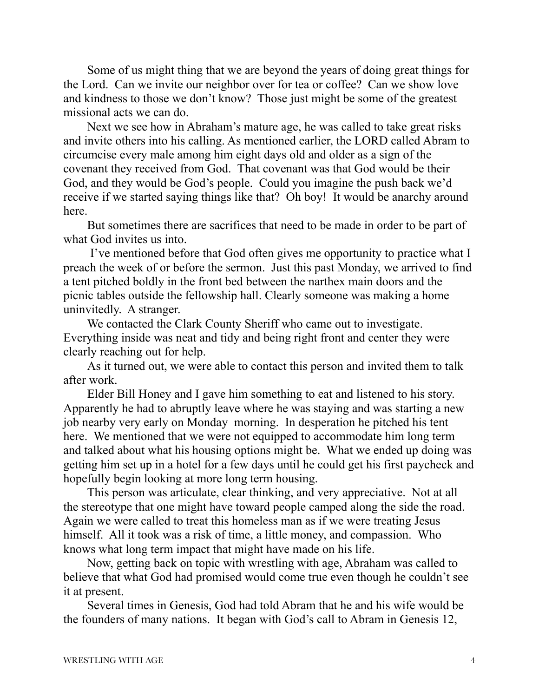Some of us might thing that we are beyond the years of doing great things for the Lord. Can we invite our neighbor over for tea or coffee? Can we show love and kindness to those we don't know? Those just might be some of the greatest missional acts we can do.

Next we see how in Abraham's mature age, he was called to take great risks and invite others into his calling. As mentioned earlier, the LORD called Abram to circumcise every male among him eight days old and older as a sign of the covenant they received from God. That covenant was that God would be their God, and they would be God's people. Could you imagine the push back we'd receive if we started saying things like that? Oh boy! It would be anarchy around here.

But sometimes there are sacrifices that need to be made in order to be part of what God invites us into.

 I've mentioned before that God often gives me opportunity to practice what I preach the week of or before the sermon. Just this past Monday, we arrived to find a tent pitched boldly in the front bed between the narthex main doors and the picnic tables outside the fellowship hall. Clearly someone was making a home uninvitedly. A stranger.

We contacted the Clark County Sheriff who came out to investigate. Everything inside was neat and tidy and being right front and center they were clearly reaching out for help.

As it turned out, we were able to contact this person and invited them to talk after work.

Elder Bill Honey and I gave him something to eat and listened to his story. Apparently he had to abruptly leave where he was staying and was starting a new job nearby very early on Monday morning. In desperation he pitched his tent here. We mentioned that we were not equipped to accommodate him long term and talked about what his housing options might be. What we ended up doing was getting him set up in a hotel for a few days until he could get his first paycheck and hopefully begin looking at more long term housing.

This person was articulate, clear thinking, and very appreciative. Not at all the stereotype that one might have toward people camped along the side the road. Again we were called to treat this homeless man as if we were treating Jesus himself. All it took was a risk of time, a little money, and compassion. Who knows what long term impact that might have made on his life.

Now, getting back on topic with wrestling with age, Abraham was called to believe that what God had promised would come true even though he couldn't see it at present.

Several times in Genesis, God had told Abram that he and his wife would be the founders of many nations. It began with God's call to Abram in Genesis 12,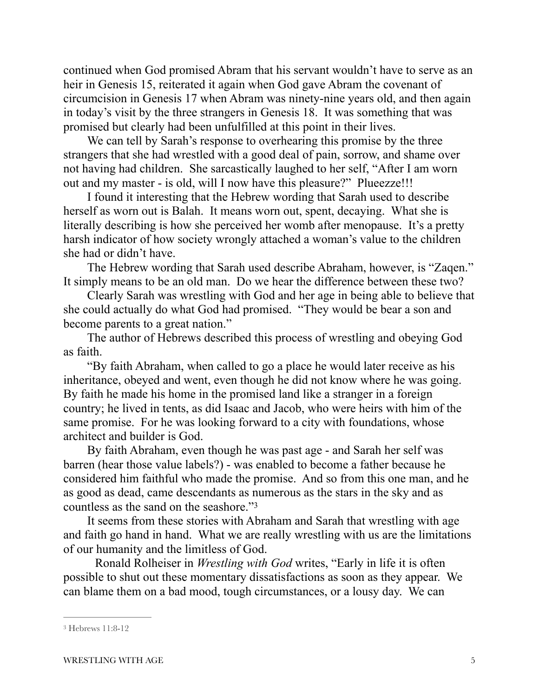continued when God promised Abram that his servant wouldn't have to serve as an heir in Genesis 15, reiterated it again when God gave Abram the covenant of circumcision in Genesis 17 when Abram was ninety-nine years old, and then again in today's visit by the three strangers in Genesis 18. It was something that was promised but clearly had been unfulfilled at this point in their lives.

We can tell by Sarah's response to overhearing this promise by the three strangers that she had wrestled with a good deal of pain, sorrow, and shame over not having had children. She sarcastically laughed to her self, "After I am worn out and my master - is old, will I now have this pleasure?" Plueezze!!!

I found it interesting that the Hebrew wording that Sarah used to describe herself as worn out is Balah. It means worn out, spent, decaying. What she is literally describing is how she perceived her womb after menopause. It's a pretty harsh indicator of how society wrongly attached a woman's value to the children she had or didn't have.

The Hebrew wording that Sarah used describe Abraham, however, is "Zaqen." It simply means to be an old man. Do we hear the difference between these two?

Clearly Sarah was wrestling with God and her age in being able to believe that she could actually do what God had promised. "They would be bear a son and become parents to a great nation."

The author of Hebrews described this process of wrestling and obeying God as faith.

"By faith Abraham, when called to go a place he would later receive as his inheritance, obeyed and went, even though he did not know where he was going. By faith he made his home in the promised land like a stranger in a foreign country; he lived in tents, as did Isaac and Jacob, who were heirs with him of the same promise. For he was looking forward to a city with foundations, whose architect and builder is God.

By faith Abraham, even though he was past age - and Sarah her self was barren (hear those value labels?) - was enabled to become a father because he considered him faithful who made the promise. And so from this one man, and he as good as dead, came descendants as numerous as the stars in the sky and as countless as the sand on the seashore."[3](#page-4-0)

<span id="page-4-1"></span>It seems from these stories with Abraham and Sarah that wrestling with age and faith go hand in hand. What we are really wrestling with us are the limitations of our humanity and the limitless of God.

 Ronald Rolheiser in *Wrestling with God* writes, "Early in life it is often possible to shut out these momentary dissatisfactions as soon as they appear. We can blame them on a bad mood, tough circumstances, or a lousy day. We can

<span id="page-4-0"></span>[<sup>3</sup>](#page-4-1) Hebrews 11:8-12